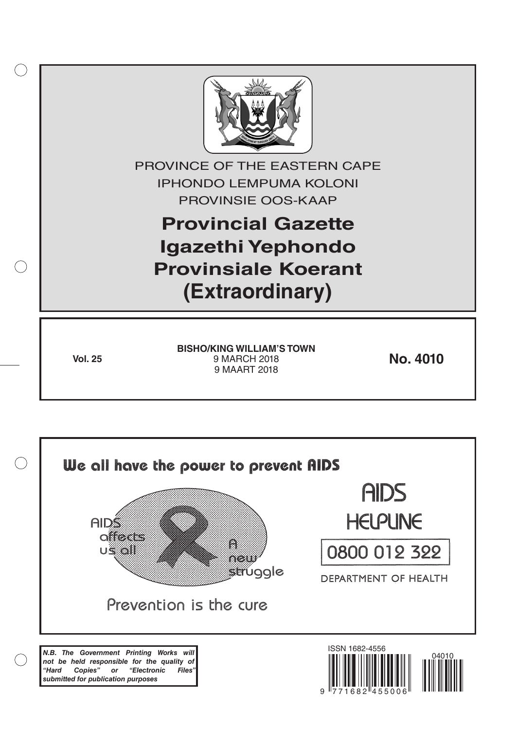

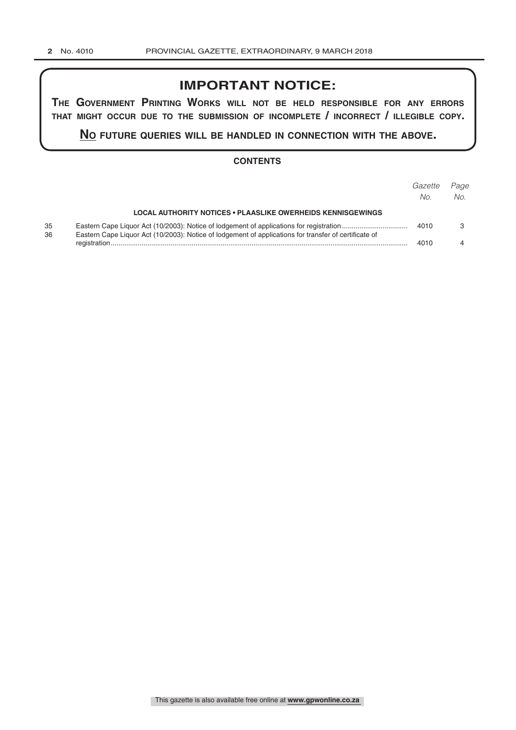# **IMPORTANT NOTICE:**

**The GovernmenT PrinTinG Works Will noT be held resPonsible for any errors ThaT miGhT occur due To The submission of incomPleTe / incorrecT / illeGible coPy.**

**no fuTure queries Will be handled in connecTion WiTh The above.**

## **CONTENTS**

|          |                                                                                                       | Gazette<br>No. | Page<br>No. |
|----------|-------------------------------------------------------------------------------------------------------|----------------|-------------|
|          | <b>LOCAL AUTHORITY NOTICES • PLAASLIKE OWERHEIDS KENNISGEWINGS</b>                                    |                |             |
| 35<br>36 | Eastern Cape Liquor Act (10/2003): Notice of lodgement of applications for transfer of certificate of | 4010           |             |
|          |                                                                                                       | 4010           |             |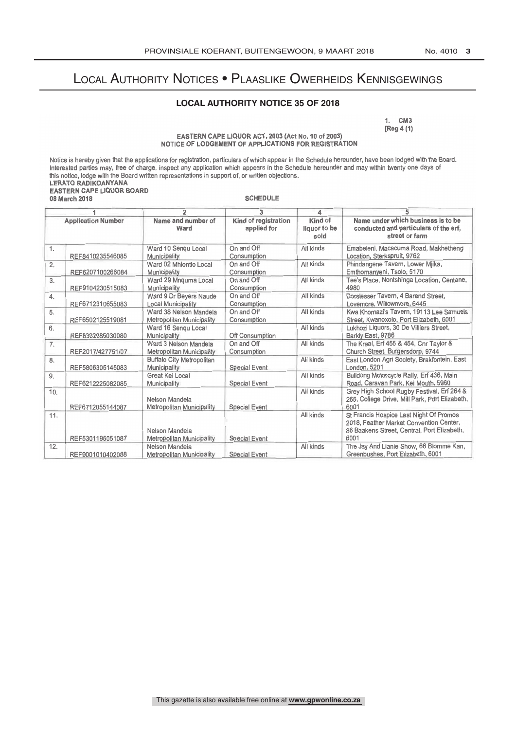# Local Authority Notices • Plaaslike Owerheids Kennisgewings

## **LOCAL AUTHORITY NOTICE 35 OF 2018**

 $1. 3.009$ 

 $[1/2]$  4 (1)

#### EASTERN CAPE LIQUOR ACT, 2003 (Act No. 10 of 2003) NOTICE OF LODGEMENT OF APPLICATIONS FOR REGISTRATION

Notice is hereby given that the applications for registration, particulars of which appear in the Schedule hereunder, have been lodged with the Board. Interested parties may, free of charge, inspect any application which appears in the Schedule hereunder and may within twenty one days of this notice, lodge with the Board written representations in support of, or written objections. LERATO RADIKOANYANA EASTERN CAPE LIQUOR BOARD 08 March 2018

SCHEDULE

|                           |                   | 3                                                   | 4                                   | 5                               |                                                                                                                                           |
|---------------------------|-------------------|-----------------------------------------------------|-------------------------------------|---------------------------------|-------------------------------------------------------------------------------------------------------------------------------------------|
| <b>Application Number</b> |                   | Name and number of<br>Ward                          | Kind of registration<br>applied for | Kind of<br>liquor to be<br>sold | Name under which business is to be<br>conducted and particulars of the erf,<br>street or farm                                             |
| 1.                        | REF8410235546085  | Ward 10 Sengu Local<br>Municipality                 | On and Off<br>Consumption           | All kinds                       | Emabeleni, Macacuma Road, Makhetheng<br>Location, Sterkspruit, 9762                                                                       |
| 2.                        | REF6207100266084  | Ward 02 Mhiontlo Local<br>Municipality              | On and Off<br>Consumption           | All kinds                       | Phindangene Tavem, Lower Mjika,<br>Emthomanyeni, Tsolo, 5170                                                                              |
| 3.                        | REF9104230515083  | Ward 29 Mnquma Local<br>Municipality                | On and Off<br>Consumption           | All kinds                       | Tee's Place, Nontshinga Location, Centane,<br>4980                                                                                        |
| 4.                        | REF6712310655083  | Ward 9 Dr Beyers Naude<br>Local Municipality        | On and Off<br>Consumption           | All kinds                       | Dorslesser Tavern, 4 Barend Street,<br>Lovemore, Willowmore, 6445                                                                         |
| 5.                        | REF6502125519081  | Ward 38 Nelson Mandela<br>Metropolitan Municipality | On and Off<br>Consumption           | All kinds                       | Kwa Khomazi's Tavern, 19113 Lee Samuels<br>Street, Kwanoxolo, Port Elizabeth, 6001                                                        |
| 6.                        | REF8302085030080  | Ward 16 Sengu Local<br><b>Municipality</b>          | Off Consumption                     | All kinds                       | Lukhozi Liquors, 30 De Villiers Street,<br>Barkly East, 9786                                                                              |
| 7.                        | REF2017/427751/07 | Ward 3 Nelson Mandela<br>Metropolitan Municipality  | On and Off<br>Consumption           | All kinds                       | The Kraal, Erf 455 & 454, Cnr Taylor &<br>Church Street, Burgersdorp, 9744                                                                |
| 8.                        | REF5806305145083  | <b>Buffalo City Metropolitan</b><br>Municipality    | Special Event                       | All kinds                       | East London Agri Society, Brakfontein, East<br>London, 5201                                                                               |
| 9.                        | REF6212225082085  | Great Kei Local<br>Municipality                     | <b>Special Event</b>                | All kinds                       | Bulldong Motorcycle Rally, Erf 436, Main<br>Road, Caravan Park, Kei Mouth, 5960                                                           |
| 10.                       | REF6712055144087  | Nelson Mandela<br><b>Metropolitan Municipality</b>  | <b>Special Event</b>                | All kinds                       | Grey High School Rugby Festival, Erf 264 &<br>265, College Drive, Mill Park, Port Elizabeth,<br>6001                                      |
| 11.                       | REF5301195051087  | Nelson Mandela<br><b>Metropolitan Municipality</b>  | <b>Special Event</b>                | All kinds                       | St Francis Hospice Last Night Of Promos<br>2018. Feather Market Convention Center,<br>86 Baakens Street, Central, Port Elizabeth,<br>6001 |
| 12.                       | REF9001010402088  | Nelson Mandela<br><b>Metropolitan Municipality</b>  | <b>Special Event</b>                | All kinds                       | The Jay And Lianie Show, 66 Blomme Kan,<br>Greenbushes, Port Elizabeth, 6001                                                              |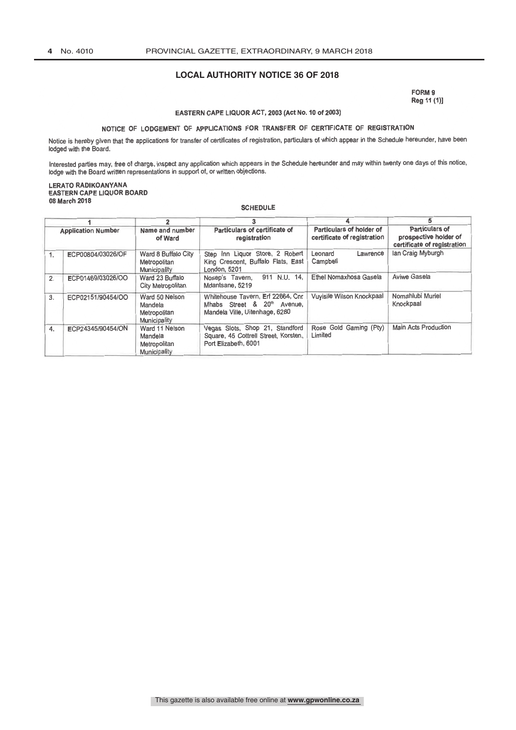### **LOCAL AUTHORITY NOTICE 36 OF 2018**

FORM 9 Reg 11 (1)]

#### EASTERN CAPE LIQUOR ACT, 2003 (Act No. 10 of 2003)

### NOTICE OF LODGEMENT OF APPLICATIONS FOR TRANSFER OF CERTIFICATE OF REGISTRATION

Notice is hereby given that the applications for transfer of certificates of registration, particulars of which appear in the Schedule hereunder, have been lodged with the Board.

Interested parties may, free of charge, inspect any application which appears in the schedule nerednuer and may within twenty one days or this houce,<br>lodge with the Board written representations in support of, or written o

#### LERATO RADIKOANYANA EASTERN CAPE LIQUOR BOARD 08 March 2018

**SCHEDULE** 

| <b>Application Number</b> |                   |                                                                             | з                                                                                                              |                                                         | 5                                                                             |
|---------------------------|-------------------|-----------------------------------------------------------------------------|----------------------------------------------------------------------------------------------------------------|---------------------------------------------------------|-------------------------------------------------------------------------------|
|                           |                   | Particulars of certificate of<br>Name and number<br>registration<br>of Ward |                                                                                                                | Particulars of holder of<br>certificate of registration | <b>Particulars of</b><br>prospective holder of<br>certificate of registration |
| 1.                        | ECP00804/03026/OF | Ward 8 Buffalo City<br>Metropolitan<br>Municipality                         | Step inn Liquor Store, 2 Robert<br>King Crescent, Buffalo Flats, East<br>London, 5201                          | Leonard<br>Lawrence<br>Campbell                         | lan Craig Myburgh                                                             |
| 2.                        | ECP01469/03026/OO | Ward 23 Buffalo<br>City Metropolitan                                        | 911 N.U. 14.<br>Nosep's Tavern,<br>Mdantsane, 5219                                                             | Ethel Nomaxhosa Gasela                                  | Aviwe Gasela                                                                  |
| 3.                        | ECP02151/90454/OO | Ward 50 Nelson<br>Mandela<br>Metropolitan<br>Municipality                   | Whitehouse Tavern, Erf 22664, Cnr<br>Mhabs Street & 20 <sup>th</sup> Avenue,<br>Mandela Ville, Uitenhage, 6280 | Vuyisile Wilson Knockpaal                               | Nomahlubi Muriel<br>Knockpaal                                                 |
| 4.                        | ECP24345/90454/ON | Ward 11 Nelson<br>Mandela<br>Metropolitan<br>Municipality                   | Vegas Slots, Shop 21, Standford<br>Square, 45 Cottrell Street, Korsten,<br>Port Elizabeth, 6001                | Rose Gold Gaming (Pty)<br>Limited                       | Main Acts Production                                                          |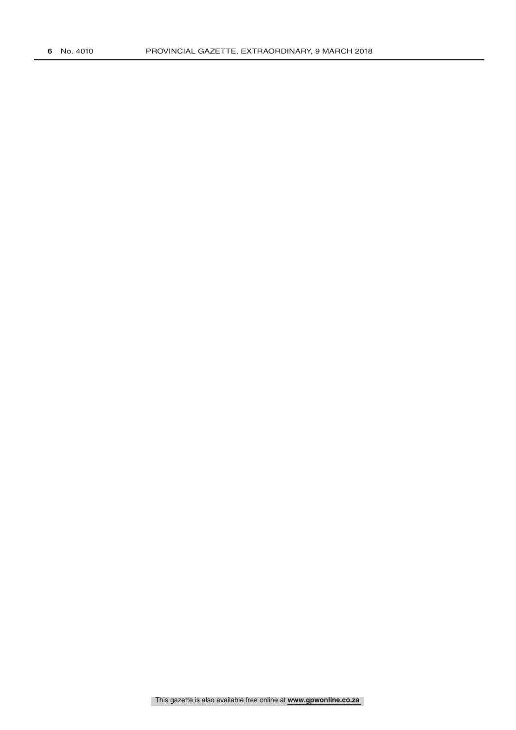This gazette is also available free online at **www.gpwonline.co.za**